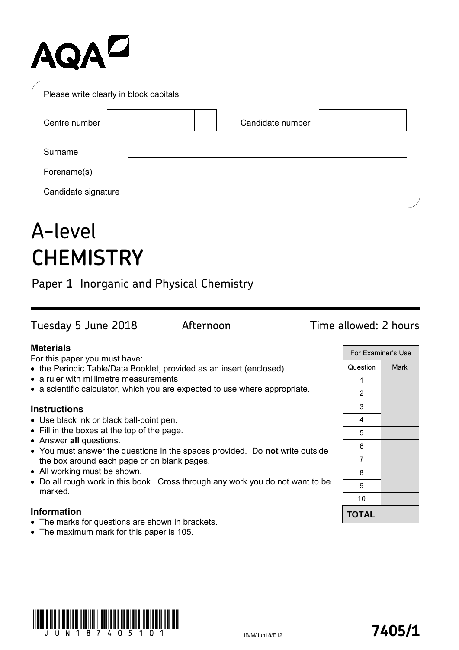# AQAZ

| Please write clearly in block capitals. |                  |  |
|-----------------------------------------|------------------|--|
| Centre number                           | Candidate number |  |
| Surname                                 |                  |  |
| Forename(s)                             |                  |  |
| Candidate signature                     |                  |  |

## A-level **CHEMISTRY**

Paper 1 Inorganic and Physical Chemistry

Tuesday 5 June 2018 Afternoon Time allowed: 2 hours

## **Materials**

For this paper you must have:

- the Periodic Table/Data Booklet, provided as an insert (enclosed)
- a ruler with millimetre measurements
- a scientific calculator, which you are expected to use where appropriate.

### **Instructions**

- Use black ink or black ball-point pen.
- Fill in the boxes at the top of the page.
- Answer **all** questions.
- You must answer the questions in the spaces provided. Do **not** write outside the box around each page or on blank pages.
- All working must be shown.
- Do all rough work in this book. Cross through any work you do not want to be marked.

## **Information**

- The marks for questions are shown in brackets.
- The maximum mark for this paper is 105.

| For Examiner's Use |      |  |
|--------------------|------|--|
| Question           | Mark |  |
| 1                  |      |  |
| 2                  |      |  |
| 3                  |      |  |
| 4                  |      |  |
| 5                  |      |  |
| 6                  |      |  |
| 7                  |      |  |
| 8                  |      |  |
| 9                  |      |  |
| 10                 |      |  |
| <b>TOTAL</b>       |      |  |

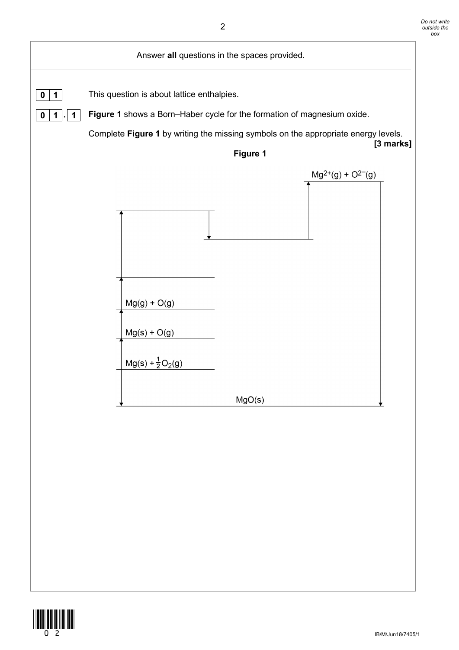

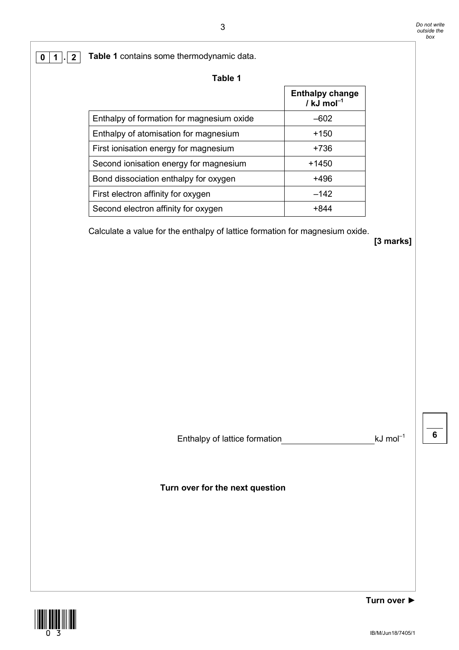**0 1 . 2 Table 1** contains some thermodynamic data.

| abl |  |
|-----|--|
|-----|--|

|                                           | <b>Enthalpy change</b><br>/ $kJ$ mol <sup>-1</sup> |
|-------------------------------------------|----------------------------------------------------|
| Enthalpy of formation for magnesium oxide | $-602$                                             |
| Enthalpy of atomisation for magnesium     | $+150$                                             |
| First ionisation energy for magnesium     | +736                                               |
| Second ionisation energy for magnesium    | +1450                                              |
| Bond dissociation enthalpy for oxygen     | +496                                               |
| First electron affinity for oxygen        | $-142$                                             |
| Second electron affinity for oxygen       | +844                                               |

Calculate a value for the enthalpy of lattice formation for magnesium oxide.

**[3 marks]**

Enthalpy of lattice formation  $kJ \text{ mol}^{-1}$ 

**6**

**Turn over for the next question**

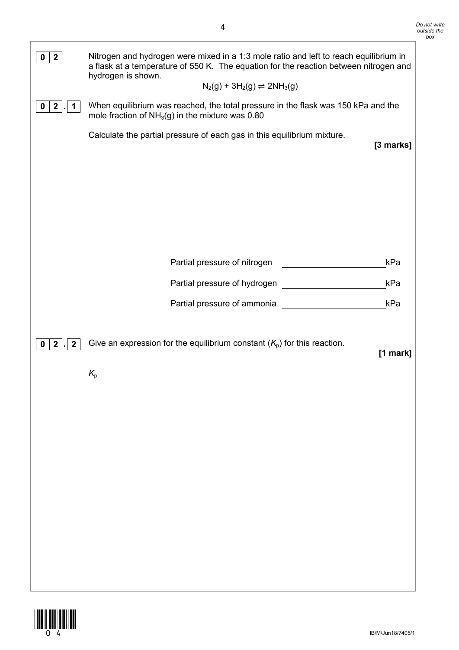| $\mathbf{2}$<br>$\mathbf 0$<br>$\overline{2}$<br>0<br>1 | Nitrogen and hydrogen were mixed in a 1:3 mole ratio and left to reach equilibrium in<br>a flask at a temperature of 550 K. The equation for the reaction between nitrogen and<br>hydrogen is shown.<br>$N_2(g) + 3H_2(g) \rightleftharpoons 2NH_3(g)$<br>When equilibrium was reached, the total pressure in the flask was 150 kPa and the<br>mole fraction of $NH3(g)$ in the mixture was 0.80<br>Calculate the partial pressure of each gas in this equilibrium mixture.<br>[3 marks] |  |
|---------------------------------------------------------|------------------------------------------------------------------------------------------------------------------------------------------------------------------------------------------------------------------------------------------------------------------------------------------------------------------------------------------------------------------------------------------------------------------------------------------------------------------------------------------|--|
| $\overline{2}$<br>$\overline{2}$<br>0                   | Partial pressure of nitrogen<br>kPa<br>Partial pressure of hydrogen<br>kPa<br>Partial pressure of ammonia<br>kPa<br>Give an expression for the equilibrium constant $(K_0)$ for this reaction.<br>[1 mark]<br>$K_{p}$                                                                                                                                                                                                                                                                    |  |

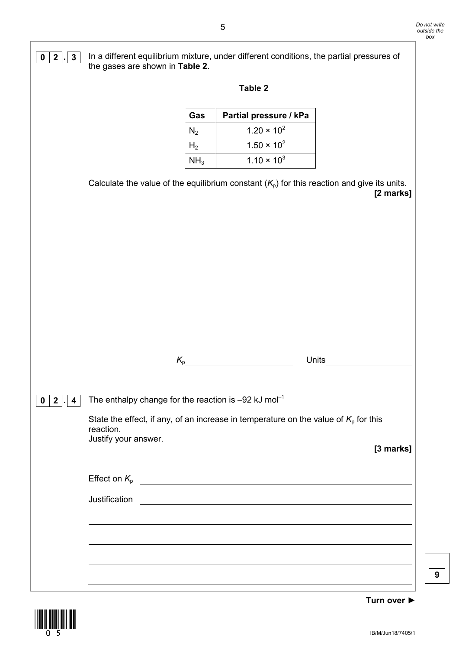



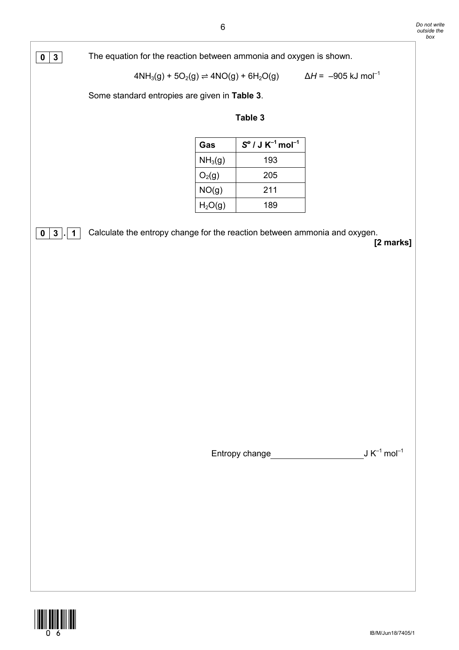**0 3** The equation for the reaction between ammonia and oxygen is shown.

$$
4NH_3(g) + 5O_2(g) \rightleftharpoons 4NO(g) + 6H_2O(g) \qquad \Delta H = -905 \text{ kJ mol}^{-1}
$$

Some standard entropies are given in **Table 3**.

### **Table 3**

| Gas                 | $S^{\circ}$ / J K <sup>-1</sup> mol <sup>-1</sup> |
|---------------------|---------------------------------------------------|
| NH <sub>3</sub> (g) | 193                                               |
| $O_2(g)$            | 205                                               |
| NO(g)               | 211                                               |
| H <sub>2</sub> O(g) | 189                                               |

**0 3**  $\cdot$  **1** Calculate the entropy change for the reaction between ammonia and oxygen.

**[2 marks]**

Entropy change<br>
J K<sup>-1</sup> mol<sup>-1</sup>

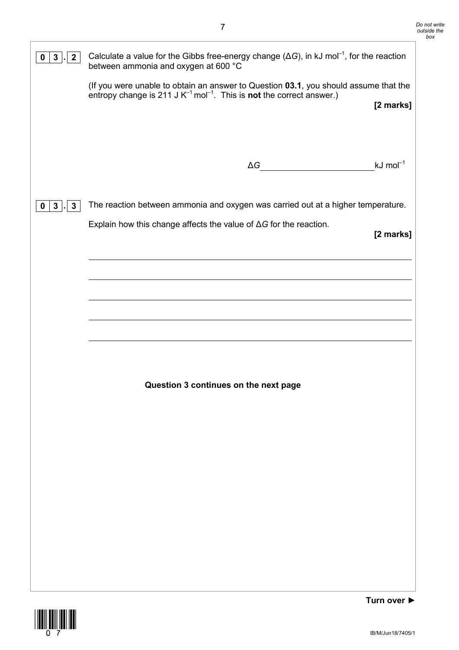| 3 <sup>1</sup><br>2 <sup>1</sup><br>$\mathbf 0$ | Calculate a value for the Gibbs free-energy change ( $\Delta G$ ), in kJ mol <sup>-1</sup> , for the reaction<br>between ammonia and oxygen at 600 °C                                                                                                                                                                                               |                        |  |
|-------------------------------------------------|-----------------------------------------------------------------------------------------------------------------------------------------------------------------------------------------------------------------------------------------------------------------------------------------------------------------------------------------------------|------------------------|--|
|                                                 | (If you were unable to obtain an answer to Question 03.1, you should assume that the<br>entropy change is 211 J $K^{-1}$ mol <sup>-1</sup> . This is <b>not</b> the correct answer.)                                                                                                                                                                | [2 marks]              |  |
|                                                 | $\begin{picture}(150,10) \put(0,0){\line(1,0){10}} \put(15,0){\line(1,0){10}} \put(15,0){\line(1,0){10}} \put(15,0){\line(1,0){10}} \put(15,0){\line(1,0){10}} \put(15,0){\line(1,0){10}} \put(15,0){\line(1,0){10}} \put(15,0){\line(1,0){10}} \put(15,0){\line(1,0){10}} \put(15,0){\line(1,0){10}} \put(15,0){\line(1,0){10}} \put(15,0){\line($ | $kJ$ mol <sup>-1</sup> |  |
| $3$ .<br>3 <sup>1</sup><br>$\mathbf{0}$         | The reaction between ammonia and oxygen was carried out at a higher temperature.<br>Explain how this change affects the value of $\Delta G$ for the reaction.                                                                                                                                                                                       | [2 marks]              |  |
|                                                 |                                                                                                                                                                                                                                                                                                                                                     |                        |  |
|                                                 |                                                                                                                                                                                                                                                                                                                                                     |                        |  |
|                                                 |                                                                                                                                                                                                                                                                                                                                                     |                        |  |
|                                                 | Question 3 continues on the next page                                                                                                                                                                                                                                                                                                               |                        |  |
|                                                 |                                                                                                                                                                                                                                                                                                                                                     |                        |  |
|                                                 |                                                                                                                                                                                                                                                                                                                                                     |                        |  |
|                                                 |                                                                                                                                                                                                                                                                                                                                                     |                        |  |
|                                                 |                                                                                                                                                                                                                                                                                                                                                     |                        |  |
|                                                 |                                                                                                                                                                                                                                                                                                                                                     |                        |  |

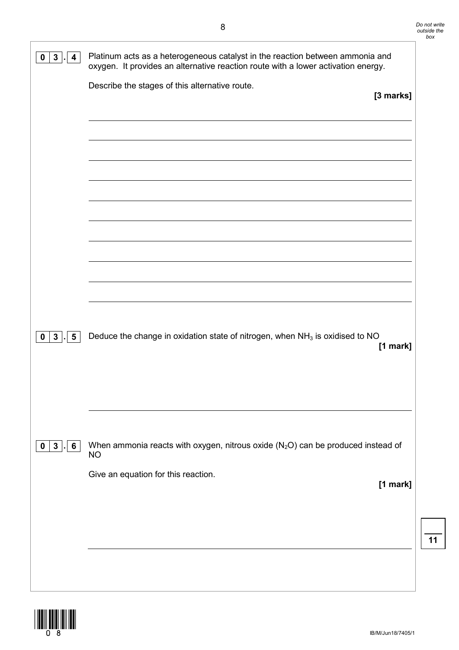| Platinum acts as a heterogeneous catalyst in the reaction between ammonia and<br>oxygen. It provides an alternative reaction route with a lower activation energy. |                                     |
|--------------------------------------------------------------------------------------------------------------------------------------------------------------------|-------------------------------------|
| Describe the stages of this alternative route.                                                                                                                     | [3 marks]                           |
|                                                                                                                                                                    |                                     |
|                                                                                                                                                                    |                                     |
|                                                                                                                                                                    |                                     |
|                                                                                                                                                                    |                                     |
| Deduce the change in oxidation state of nitrogen, when $NH3$ is oxidised to NO                                                                                     | $[1$ mark]                          |
|                                                                                                                                                                    |                                     |
| When ammonia reacts with oxygen, nitrous oxide $(N_2O)$ can be produced instead of<br><b>NO</b>                                                                    |                                     |
|                                                                                                                                                                    | $[1$ mark]                          |
|                                                                                                                                                                    |                                     |
|                                                                                                                                                                    | Give an equation for this reaction. |

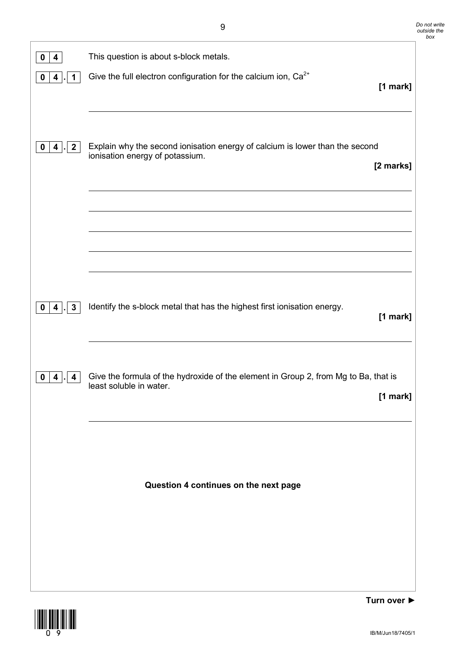| 0<br>4                                                 | This question is about s-block metals.                                                                                       |
|--------------------------------------------------------|------------------------------------------------------------------------------------------------------------------------------|
| 0<br>$\overline{\mathbf{4}}$<br>1                      | Give the full electron configuration for the calcium ion, Ca <sup>2+</sup><br>$[1$ mark]                                     |
| $\mathbf{2}$<br>$\overline{\mathbf{4}}$<br>$\mathbf 0$ | Explain why the second ionisation energy of calcium is lower than the second<br>ionisation energy of potassium.<br>[2 marks] |
|                                                        |                                                                                                                              |
| $\mathbf{3}$<br>0<br>4                                 | Identify the s-block metal that has the highest first ionisation energy.<br>[1 mark]                                         |
| 0<br>4<br>4                                            | Give the formula of the hydroxide of the element in Group 2, from Mg to Ba, that is<br>least soluble in water.<br>[1 mark]   |
|                                                        | Question 4 continues on the next page                                                                                        |
|                                                        |                                                                                                                              |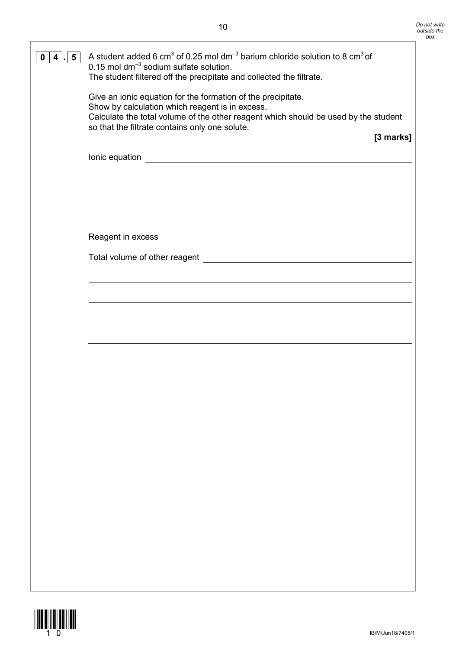| $5\overline{)}$<br>0<br>4 | A student added 6 cm <sup>3</sup> of 0.25 mol dm <sup>-3</sup> barium chloride solution to 8 cm <sup>3</sup> of<br>$0.15$ mol dm <sup>-3</sup> sodium sulfate solution.<br>The student filtered off the precipitate and collected the filtrate.          |
|---------------------------|----------------------------------------------------------------------------------------------------------------------------------------------------------------------------------------------------------------------------------------------------------|
|                           | Give an ionic equation for the formation of the precipitate.<br>Show by calculation which reagent is in excess.<br>Calculate the total volume of the other reagent which should be used by the student<br>so that the filtrate contains only one solute. |
|                           | [3 marks]                                                                                                                                                                                                                                                |
|                           |                                                                                                                                                                                                                                                          |
|                           |                                                                                                                                                                                                                                                          |
|                           |                                                                                                                                                                                                                                                          |
|                           | Reagent in excess                                                                                                                                                                                                                                        |
|                           |                                                                                                                                                                                                                                                          |
|                           |                                                                                                                                                                                                                                                          |
|                           |                                                                                                                                                                                                                                                          |
|                           |                                                                                                                                                                                                                                                          |
|                           |                                                                                                                                                                                                                                                          |
|                           |                                                                                                                                                                                                                                                          |
|                           |                                                                                                                                                                                                                                                          |
|                           |                                                                                                                                                                                                                                                          |
|                           |                                                                                                                                                                                                                                                          |
|                           |                                                                                                                                                                                                                                                          |
|                           |                                                                                                                                                                                                                                                          |
|                           |                                                                                                                                                                                                                                                          |
|                           |                                                                                                                                                                                                                                                          |
|                           |                                                                                                                                                                                                                                                          |
|                           |                                                                                                                                                                                                                                                          |

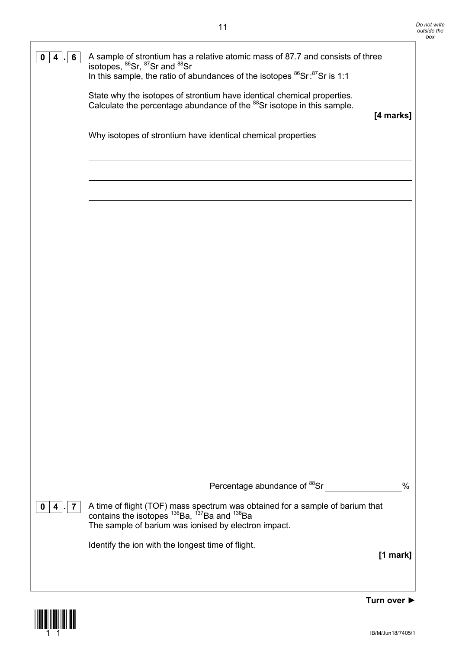

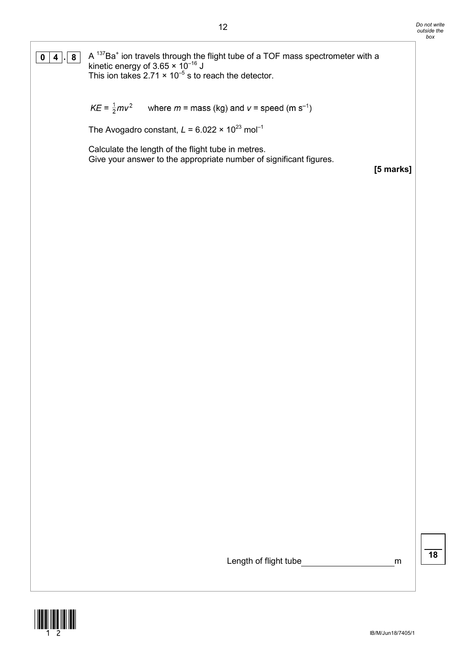**0**  $\boxed{4}$  **. 8** A <sup>137</sup>Ba<sup>+</sup> ion travels through the flight tube of a TOF mass spectrometer with a kinetic energy of 3.65  $\times$  10<sup>-16</sup> J This ion takes 2.71  $\times$  10<sup>-5</sup> s to reach the detector.

> $KE = \frac{1}{2}mv^2$ where  $m =$  mass (kg) and  $v =$  speed (m s<sup>-1</sup>)

The Avogadro constant,  $L = 6.022 \times 10^{23}$  mol<sup>-1</sup>

Calculate the length of the flight tube in metres. Give your answer to the appropriate number of significant figures.

**[5 marks]**

Length of flight tube methods on the method of  $m$ 

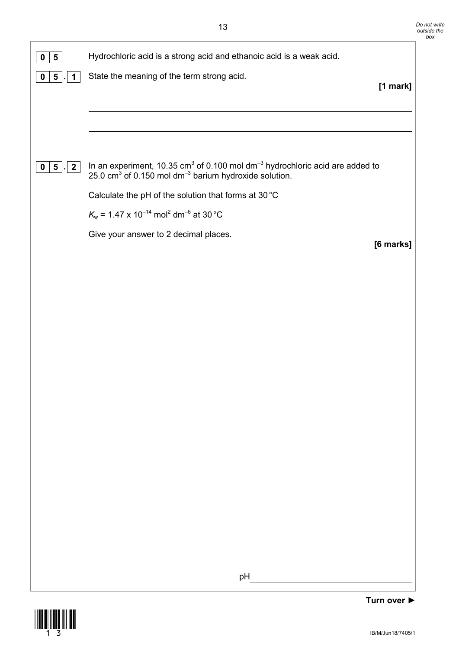| 5<br>$\mathbf 0$                                | Hydrochloric acid is a strong acid and ethanoic acid is a weak acid.                                                                                             |                                 |
|-------------------------------------------------|------------------------------------------------------------------------------------------------------------------------------------------------------------------|---------------------------------|
| 5 <sup>5</sup><br>$\mathbf 0$<br>1              | State the meaning of the term strong acid.                                                                                                                       |                                 |
|                                                 |                                                                                                                                                                  | [1 mark]                        |
|                                                 |                                                                                                                                                                  |                                 |
|                                                 |                                                                                                                                                                  |                                 |
| $5$ .<br>$\overline{\mathbf{2}}$<br>$\mathbf 0$ | In an experiment, 10.35 $cm^3$ of 0.100 mol dm <sup>-3</sup> hydrochloric acid are added to 25.0 $cm^3$ of 0.150 mol dm <sup>-3</sup> barium hydroxide solution. |                                 |
|                                                 | Calculate the pH of the solution that forms at 30 °C                                                                                                             |                                 |
|                                                 | $K_w$ = 1.47 x 10 <sup>-14</sup> mol <sup>2</sup> dm <sup>-6</sup> at 30 °C                                                                                      |                                 |
|                                                 | Give your answer to 2 decimal places.                                                                                                                            |                                 |
|                                                 |                                                                                                                                                                  | [6 marks]                       |
|                                                 |                                                                                                                                                                  |                                 |
|                                                 |                                                                                                                                                                  |                                 |
|                                                 |                                                                                                                                                                  |                                 |
|                                                 |                                                                                                                                                                  |                                 |
|                                                 |                                                                                                                                                                  |                                 |
|                                                 |                                                                                                                                                                  |                                 |
|                                                 |                                                                                                                                                                  |                                 |
|                                                 |                                                                                                                                                                  |                                 |
|                                                 |                                                                                                                                                                  |                                 |
|                                                 |                                                                                                                                                                  |                                 |
|                                                 |                                                                                                                                                                  |                                 |
|                                                 |                                                                                                                                                                  |                                 |
|                                                 |                                                                                                                                                                  |                                 |
|                                                 |                                                                                                                                                                  |                                 |
|                                                 |                                                                                                                                                                  |                                 |
|                                                 | pH                                                                                                                                                               |                                 |
|                                                 |                                                                                                                                                                  | Turn over $\blacktriangleright$ |

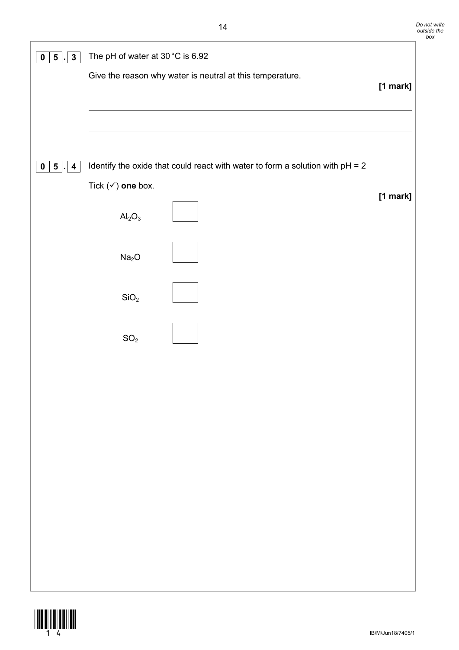| $3\phantom{a}$<br>5 <sub>5</sub><br>$\mathbf 0$          | The pH of water at 30 °C is 6.92 |                                                                                 |          |
|----------------------------------------------------------|----------------------------------|---------------------------------------------------------------------------------|----------|
|                                                          |                                  | Give the reason why water is neutral at this temperature.                       | [1 mark] |
|                                                          |                                  |                                                                                 |          |
|                                                          |                                  |                                                                                 |          |
| 5 <sub>1</sub><br>$\overline{\mathbf{4}}$<br>$\mathbf 0$ |                                  | Identify the oxide that could react with water to form a solution with $pH = 2$ |          |
|                                                          | Tick $(\checkmark)$ one box.     |                                                                                 | [1 mark] |
|                                                          | $Al_2O_3$                        |                                                                                 |          |
|                                                          | Na <sub>2</sub> O                |                                                                                 |          |
|                                                          | SiO <sub>2</sub>                 |                                                                                 |          |
|                                                          | $\rm SO_2$                       |                                                                                 |          |
|                                                          |                                  |                                                                                 |          |
|                                                          |                                  |                                                                                 |          |
|                                                          |                                  |                                                                                 |          |
|                                                          |                                  |                                                                                 |          |
|                                                          |                                  |                                                                                 |          |
|                                                          |                                  |                                                                                 |          |
|                                                          |                                  |                                                                                 |          |
|                                                          |                                  |                                                                                 |          |
|                                                          |                                  |                                                                                 |          |

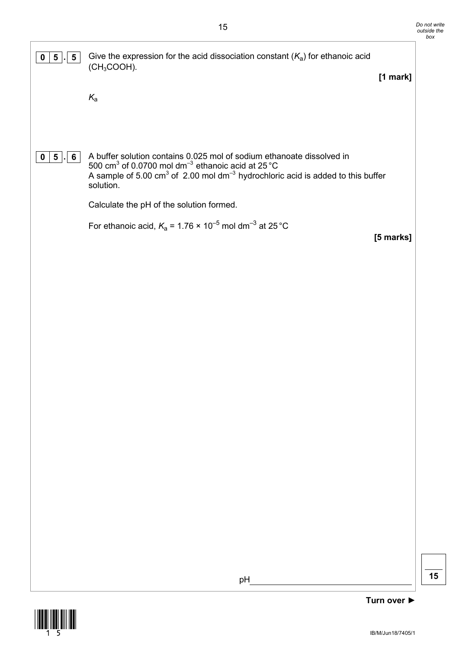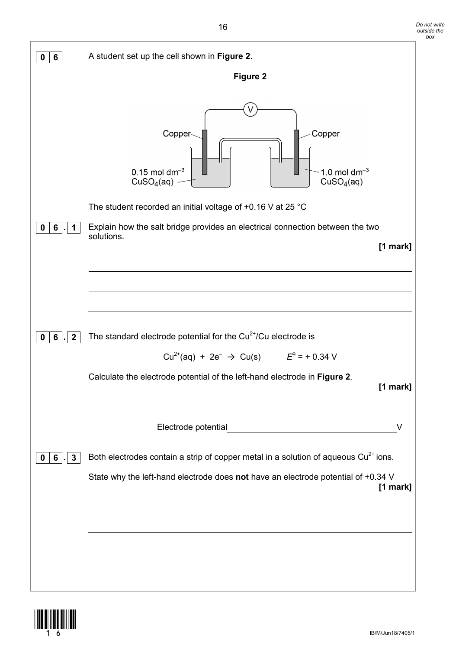| 6                              | A student set up the cell shown in Figure 2.                                                                             |  |
|--------------------------------|--------------------------------------------------------------------------------------------------------------------------|--|
|                                | <b>Figure 2</b>                                                                                                          |  |
|                                | Copper<br>Copper<br>$0.15$ mol dm <sup>-3</sup><br>1.0 mol $dm^{-3}$<br>CuSO <sub>4</sub> (aq)<br>CuSO <sub>4</sub> (aq) |  |
|                                | The student recorded an initial voltage of $+0.16$ V at 25 °C                                                            |  |
| 6                              | Explain how the salt bridge provides an electrical connection between the two                                            |  |
|                                | solutions.<br>$[1$ mark]                                                                                                 |  |
|                                |                                                                                                                          |  |
|                                |                                                                                                                          |  |
|                                |                                                                                                                          |  |
| $\boldsymbol{2}$<br>6          | The standard electrode potential for the $Cu2+/Cu$ electrode is                                                          |  |
|                                | $Cu^{2+}(aq) + 2e^{-} \rightarrow Cu(s)$ $E^{e} = +0.34$ V                                                               |  |
|                                | Calculate the electrode potential of the left-hand electrode in Figure 2.<br>[1 mark]                                    |  |
|                                | Electrode potential<br>V                                                                                                 |  |
| $\mathbf{3}$<br>6 <sup>1</sup> | Both electrodes contain a strip of copper metal in a solution of aqueous Cu <sup>2+</sup> ions.                          |  |
|                                | State why the left-hand electrode does not have an electrode potential of +0.34 V<br>[1 mark]                            |  |
|                                |                                                                                                                          |  |
|                                |                                                                                                                          |  |
|                                |                                                                                                                          |  |
|                                |                                                                                                                          |  |

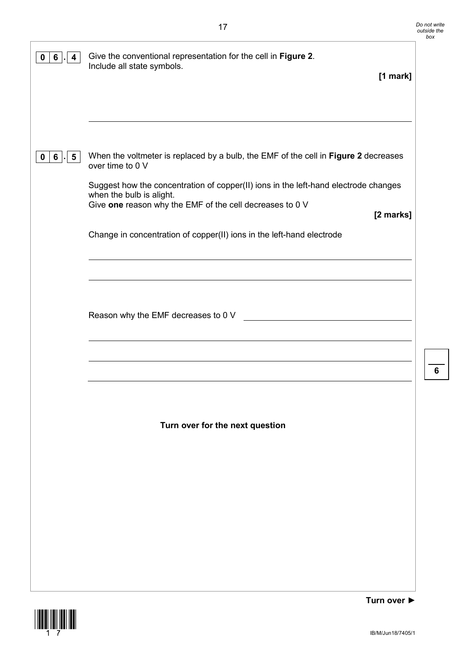| 6<br>0<br>4     | Give the conventional representation for the cell in Figure 2.<br>Include all state symbols.<br>$[1$ mark]                                                                  |
|-----------------|-----------------------------------------------------------------------------------------------------------------------------------------------------------------------------|
|                 |                                                                                                                                                                             |
|                 |                                                                                                                                                                             |
| $6$ .<br>5<br>0 | When the voltmeter is replaced by a bulb, the EMF of the cell in Figure 2 decreases<br>over time to 0 V                                                                     |
|                 | Suggest how the concentration of copper(II) ions in the left-hand electrode changes<br>when the bulb is alight.<br>Give one reason why the EMF of the cell decreases to 0 V |
|                 | [2 marks]<br>Change in concentration of copper(II) ions in the left-hand electrode                                                                                          |
|                 |                                                                                                                                                                             |
|                 |                                                                                                                                                                             |
|                 | Reason why the EMF decreases to 0 V                                                                                                                                         |
|                 |                                                                                                                                                                             |
|                 |                                                                                                                                                                             |
|                 | Turn over for the next question                                                                                                                                             |
|                 |                                                                                                                                                                             |
|                 |                                                                                                                                                                             |
|                 |                                                                                                                                                                             |
|                 |                                                                                                                                                                             |
|                 |                                                                                                                                                                             |
|                 |                                                                                                                                                                             |

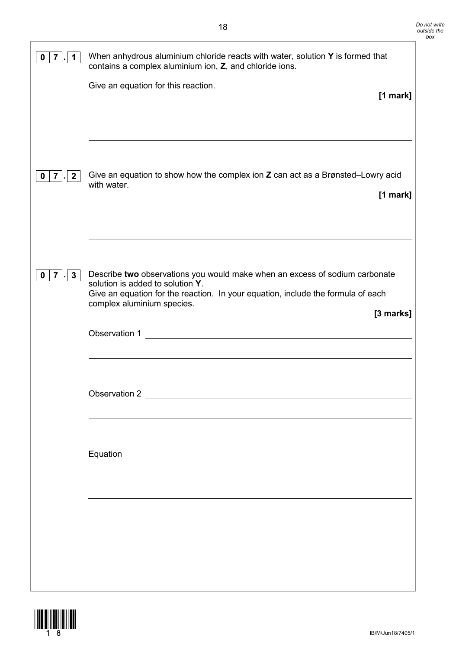| 0<br>7                            | When anhydrous aluminium chloride reacts with water, solution Y is formed that<br>contains a complex aluminium ion, Z, and chloride ions.                                                                                                                       |
|-----------------------------------|-----------------------------------------------------------------------------------------------------------------------------------------------------------------------------------------------------------------------------------------------------------------|
|                                   | Give an equation for this reaction.<br>$[1$ mark]                                                                                                                                                                                                               |
| $\mathbf{2}$<br>0<br>$7 \mid$     | Give an equation to show how the complex ion Z can act as a Brønsted-Lowry acid<br>with water.<br>$[1$ mark]                                                                                                                                                    |
| $\mathbf{3}$<br>$\mathbf{7}$<br>0 | Describe two observations you would make when an excess of sodium carbonate<br>solution is added to solution Y.<br>Give an equation for the reaction. In your equation, include the formula of each<br>complex aluminium species.<br>[3 marks]<br>Observation 1 |
|                                   | Observation 2                                                                                                                                                                                                                                                   |
|                                   | Equation                                                                                                                                                                                                                                                        |
|                                   |                                                                                                                                                                                                                                                                 |

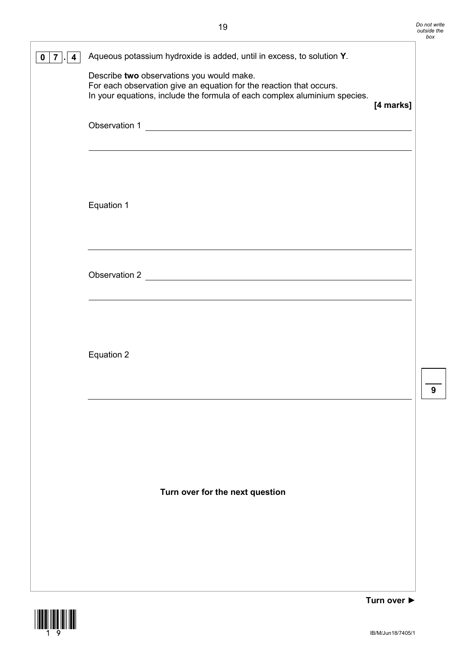| 0 | Aqueous potassium hydroxide is added, until in excess, to solution Y.<br>Describe two observations you would make.<br>For each observation give an equation for the reaction that occurs.<br>In your equations, include the formula of each complex aluminium species. | [4 marks] |
|---|------------------------------------------------------------------------------------------------------------------------------------------------------------------------------------------------------------------------------------------------------------------------|-----------|
|   | Observation 1                                                                                                                                                                                                                                                          |           |
|   | Equation 1                                                                                                                                                                                                                                                             |           |
|   |                                                                                                                                                                                                                                                                        |           |
|   | Equation 2                                                                                                                                                                                                                                                             |           |
|   | Turn over for the next question                                                                                                                                                                                                                                        |           |
|   |                                                                                                                                                                                                                                                                        |           |

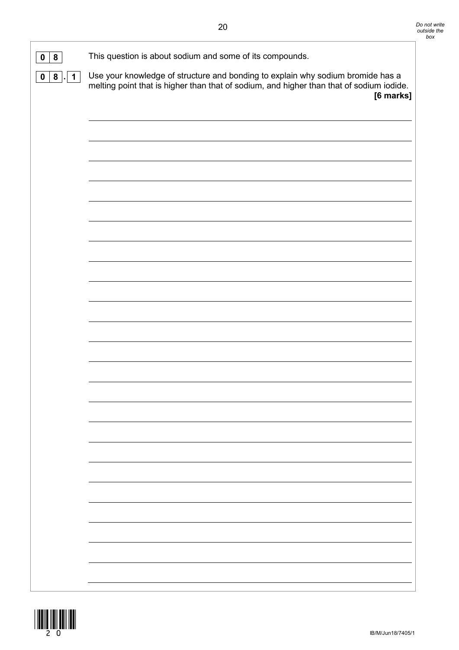| 8<br>0        | This question is about sodium and some of its compounds.                                                                                                                                 |
|---------------|------------------------------------------------------------------------------------------------------------------------------------------------------------------------------------------|
| 0   8   .   1 | Use your knowledge of structure and bonding to explain why sodium bromide has a<br>melting point that is higher than that of sodium, and higher than that of sodium iodide.<br>[6 marks] |
|               |                                                                                                                                                                                          |
|               |                                                                                                                                                                                          |
|               |                                                                                                                                                                                          |
|               |                                                                                                                                                                                          |
|               |                                                                                                                                                                                          |
|               |                                                                                                                                                                                          |
|               |                                                                                                                                                                                          |
|               |                                                                                                                                                                                          |
|               |                                                                                                                                                                                          |
|               |                                                                                                                                                                                          |
|               |                                                                                                                                                                                          |
|               |                                                                                                                                                                                          |
|               |                                                                                                                                                                                          |
|               |                                                                                                                                                                                          |
|               |                                                                                                                                                                                          |
|               |                                                                                                                                                                                          |
|               |                                                                                                                                                                                          |

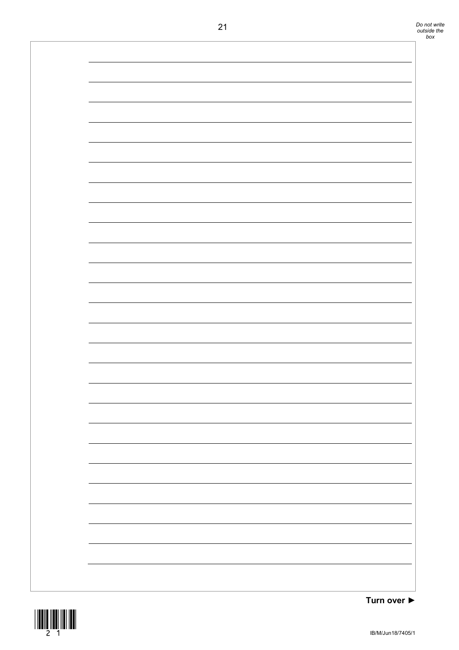

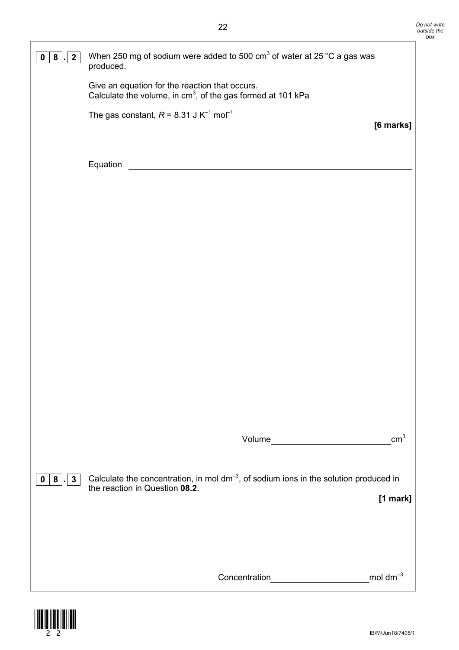| 8<br>0                 | When 250 mg of sodium were added to 500 $\text{cm}^3$ of water at 25 °C a gas was<br>produced.                               |                 |
|------------------------|------------------------------------------------------------------------------------------------------------------------------|-----------------|
|                        | Give an equation for the reaction that occurs.<br>Calculate the volume, in $cm3$ , of the gas formed at 101 kPa              |                 |
|                        | The gas constant, $R = 8.31$ J K <sup>-1</sup> mol <sup>-1</sup>                                                             | [6 marks]       |
|                        |                                                                                                                              |                 |
|                        | Equation                                                                                                                     |                 |
|                        |                                                                                                                              |                 |
|                        |                                                                                                                              |                 |
|                        |                                                                                                                              |                 |
|                        |                                                                                                                              |                 |
|                        |                                                                                                                              |                 |
|                        |                                                                                                                              |                 |
|                        |                                                                                                                              |                 |
|                        |                                                                                                                              |                 |
|                        |                                                                                                                              | cm <sup>3</sup> |
|                        |                                                                                                                              |                 |
| $\mathbf{3}$<br>8<br>0 | Calculate the concentration, in mol $dm^{-3}$ , of sodium ions in the solution produced in<br>the reaction in Question 08.2. | [1 mark]        |
|                        |                                                                                                                              |                 |
|                        |                                                                                                                              |                 |
|                        | Concentration                                                                                                                | mol d $m^{-3}$  |

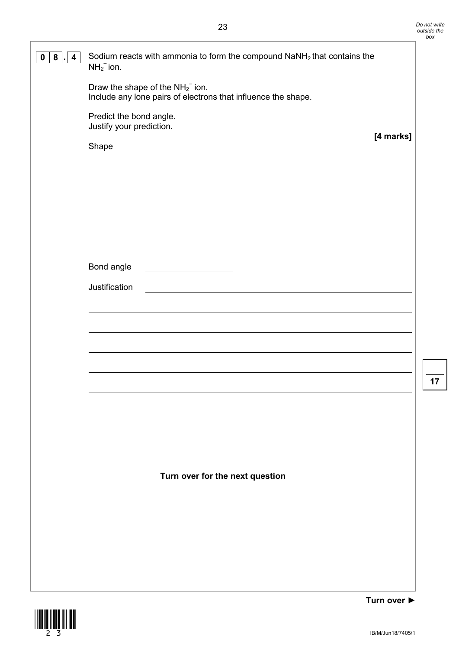| 8<br>4<br>0 | Sodium reacts with ammonia to form the compound NaNH <sub>2</sub> that contains the<br>$NH_2^-$ ion.<br>Draw the shape of the $NH_2^-$ ion.<br>Include any lone pairs of electrons that influence the shape.<br>Predict the bond angle.<br>Justify your prediction.<br>[4 marks]<br>Shape |
|-------------|-------------------------------------------------------------------------------------------------------------------------------------------------------------------------------------------------------------------------------------------------------------------------------------------|
|             |                                                                                                                                                                                                                                                                                           |
|             | Bond angle<br>Justification                                                                                                                                                                                                                                                               |
|             |                                                                                                                                                                                                                                                                                           |
|             |                                                                                                                                                                                                                                                                                           |
|             | Turn over for the next question                                                                                                                                                                                                                                                           |
|             |                                                                                                                                                                                                                                                                                           |

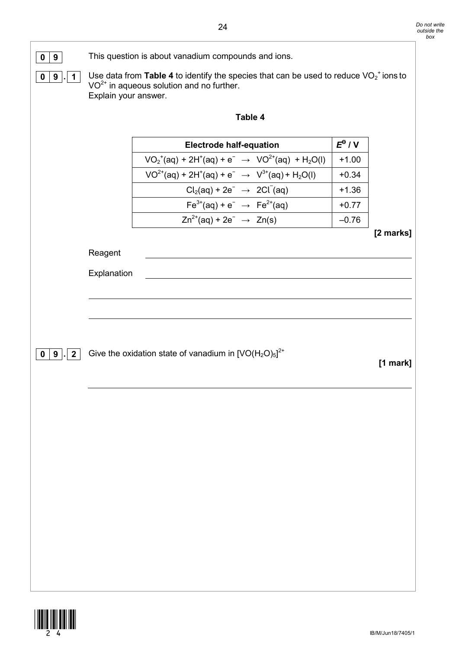

**0 9** This question is about vanadium compounds and ions.

**0** | **9**  $\cdot$  | **1** Use data from **Table 4** to identify the species that can be used to reduce VO<sub>2</sub><sup>+</sup> ions to  $VO<sup>2+</sup>$  in aqueous solution and no further. Explain your answer.

| able |  |
|------|--|
|------|--|

| <b>Electrode half-equation</b>                                        | $E^{\Theta}/V$ |
|-----------------------------------------------------------------------|----------------|
| $VO_2^+(aq) + 2H^+(aq) + e^- \rightarrow VO^{2+}(aq) + H_2O(l)$       | $+1.00$        |
| $VO^{2+}(aq) + 2H^{+}(aq) + e^{-} \rightarrow V^{3+}(aq) + H_{2}O(l)$ | $+0.34$        |
| $Cl2(aq) + 2e^- \rightarrow 2Cl2(aq)$                                 | $+1.36$        |
| $Fe^{3+}(aq) + e^{-} \rightarrow Fe^{2+}(aq)$                         | $+0.77$        |
| $Zn^{2+}(aq) + 2e^- \rightarrow Zn(s)$                                |                |

**[2 marks]**

Reagent

Explanation

**0 9**  $\cdot$  **2** Give the oxidation state of vanadium in  $[VO(H<sub>2</sub>O)<sub>5</sub>]<sup>2+</sup>$ 

**[1 mark]**

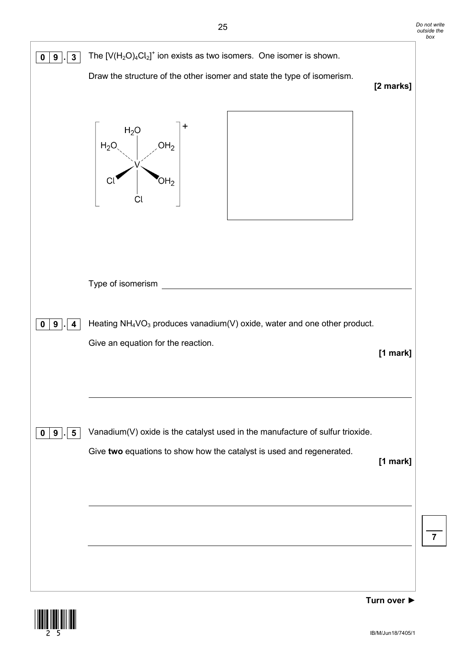

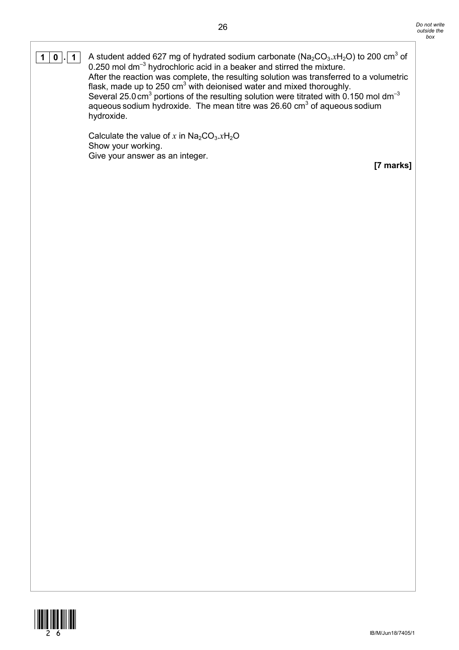$\boxed{1|0|}$ .  $\boxed{1|0|}$  A student added 627 mg of hydrated sodium carbonate (Na<sub>2</sub>CO<sub>3</sub>.xH<sub>2</sub>O) to 200 cm<sup>3</sup> of 0.250 mol dm<sup>-3</sup> hydrochloric acid in a beaker and stirred the mixture. After the reaction was complete, the resulting solution was transferred to a volumetric flask, made up to 250 cm<sup>3</sup> with deionised water and mixed thoroughly. Several 25.0 cm<sup>3</sup> portions of the resulting solution were titrated with 0.150 mol dm<sup>-3</sup> aqueous sodium hydroxide. The mean titre was 26.60 cm<sup>3</sup> of aqueous sodium hydroxide.

> Calculate the value of  $x$  in  $Na<sub>2</sub>CO<sub>3</sub>.xH<sub>2</sub>O$ Show your working. Give your answer as an integer.

**[7 marks]**

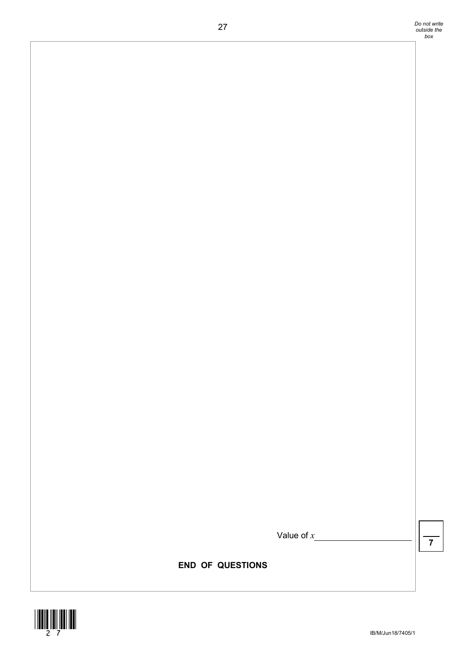Value of *x*

**7**

**END OF QUESTIONS**